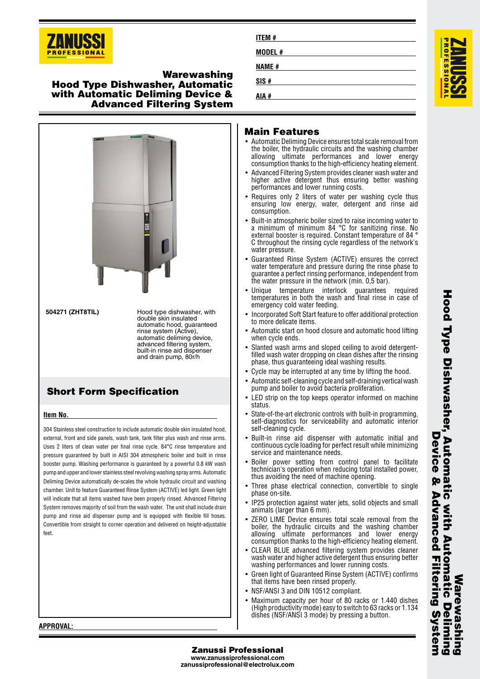

## **Warewashing Hood Type Dishwasher, Automatic with Automatic Deliming Device & Advanced Filtering System**



# **Short Form Specification**

### **Item No.**

304 Stainless steel construction to include automatic double skin insulated hood, external, front and side panels, wash tank, tank filter plus wash and rinse arms. Uses 2 liters of clean water per final rinse cycle. 84°C rinse temperature and pressure guaranteed by built in AISI 304 atmospheric boiler and built in rinse booster pump. Washing performance is guaranteed by a powerful 0.8 kW wash pump and upper and lower stainless steel revolving washing spray arms. Automatic Deliming Device automatically de-scales the whole hydraulic circuit and washing chamber. Unit to feature Guaranteed Rinse System (ACTIVE) led light. Green light will indicate that all items washed have been properly rinsed. Advanced Filtering System removes majority of soil from the wash water. The unit shall include drain pump and rinse aid dispenser pump and is equipped with flexible fill hoses. Convertible from straight to corner operation and delivered on height-adjustable feet

| <b>ITEM#</b> |  |  |
|--------------|--|--|
| MODEL#       |  |  |
| <b>NAME#</b> |  |  |
| SIS#         |  |  |
| AIA #        |  |  |

# **Main Features**

- Automatic Deliming Device ensures total scale removal from the boiler, the hydraulic circuits and the washing chamber allowing ultimate performances and lower energy consumption thanks to the high-efficiency heating element.
- • Advanced Filtering System provides cleaner wash water and higher active detergent thus ensuring better washing performances and lower running costs.
- Requires only 2 liters of water per washing cycle thus ensuring low energy, water, detergent and rinse aid consumption.
- Built-in atmospheric boiler sized to raise incoming water to a minimum of minimum 84 °C for sanitizing rinse. No external booster is required. Constant temperature of 84 ° C throughout the rinsing cycle regardless of the network's water pressure.
- • Guaranteed Rinse System (ACTIVE) ensures the correct water temperature and pressure during the rinse phase to guarantee a perfect rinsing performance, independent from the water pressure in the network (min. 0,5 bar).
- Unique temperature interlock guarantees required temperatures in both the wash and final rinse in case of emergency cold water feeding.
- • Incorporated Soft Start feature to offer additional protection to more delicate items.
- • Automatic start on hood closure and automatic hood lifting when cycle ends.
- • Slanted wash arms and sloped ceiling to avoid detergentfilled wash water dropping on clean dishes after the rinsing phase, thus guaranteeing ideal washing results.
- Cycle may be interrupted at any time by lifting the hood.
- • Automatic self-cleaning cycle and self-draining vertical wash pump and boiler to avoid bacteria proliferation.
- • LED strip on the top keeps operator informed on machine status.
- • State-of-the-art electronic controls with built-in programming, self-diagnostics for serviceability and automatic interior self-cleaning cycle.
- Built-in rinse aid dispenser with automatic initial and continuous cycle loading for perfect result while minimizing service and maintenance needs.
- •• Boiler power setting from control panel to facilitate technician's operation when reducing total installed power, thus avoiding the need of machine opening.
- • Three phase electrical connection, convertible to single phase on-site.
- • IP25 protection against water jets, solid objects and small animals (larger than 6 mm).
- • ZERO LIME Device ensures total scale removal from the boiler, the hydraulic circuits and the washing chamber allowing ultimate performances and lower energy consumption thanks to the high-efficiency heating element.
- CLEAR BLUE advanced filtering system provides cleaner wash water and higher active detergent thus ensuring better washing performances and lower running costs.
- • Green light of Guaranteed Rinse System (ACTIVE) confirms that items have been rinsed properly.
- NSF/ANSI 3 and DIN 10512 compliant.
- • Maximum capacity per hour of 80 racks or 1.440 dishes (High productivity mode) easy to switch to 63 racks or 1.134 dishes (NSF/ANSI 3 mode) by pressing a button.

**APPROVAL:**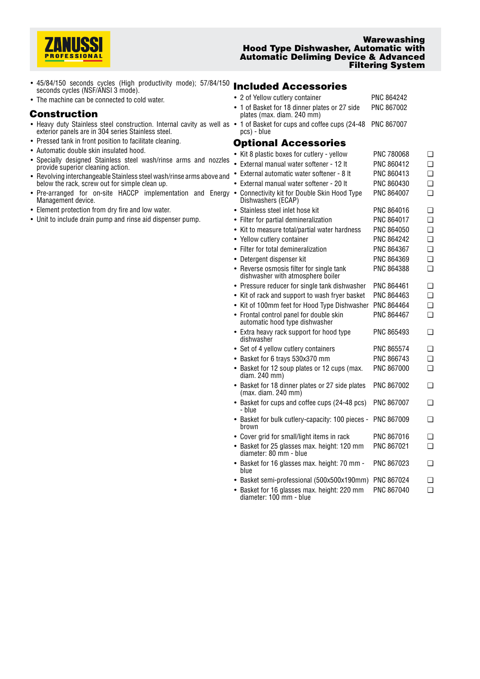

#### **Warewashing Hood Type Dishwasher, Automatic with Automatic Deliming Device & Advanced Filtering System**

- 45/84/150 seconds cycles (High productivity mode); 57/84/150 43/64/130 Seconds cycles (High productivity mode), 37/64/130 **Included Accessories**
- The machine can be connected to cold water.

## **Construction**

- Heavy duty Stainless steel construction. Internal cavity as well as exterior panels are in 304 series Stainless steel.
- Pressed tank in front position to facilitate cleaning.
- Automatic double skin insulated hood.
- Specially designed Stainless steel wash/rinse arms and nozzles provide superior cleaning action.
- Revolving interchangeable Stainless steel wash/rinse arms above and below the rack, screw out for simple clean up.
- Pre-arranged for on-site HACCP implementation and Energy Management device.
- Element protection from dry fire and low water.
- Unit to include drain pump and rinse aid dispenser pump.

|        | • 2 of Yellow cutlery container<br>• 1 of Basket for 18 dinner plates or 27 side<br>plates (max. diam. 240 mm) | PNC 864242<br>PNC 867002 |                |
|--------|----------------------------------------------------------------------------------------------------------------|--------------------------|----------------|
|        | • 1 of Basket for cups and coffee cups (24-48<br>pcs) - blue                                                   | PNC 867007               |                |
|        | <b>Optional Accessories</b>                                                                                    |                          |                |
|        | • Kit 8 plastic boxes for cutlery - yellow                                                                     | PNC 780068               | $\Box$         |
|        | • External manual water softener - 12 It                                                                       | PNC 860412               | $\Box$         |
|        | External automatic water softener - 8 It                                                                       | PNC 860413               | $\Box$         |
|        | External manual water softener - 20 It                                                                         | PNC 860430               | $\Box$         |
|        | • Connectivity kit for Double Skin Hood Type<br>Dishwashers (ECAP)                                             | <b>PNC 864007</b>        | $\Box$         |
|        | • Stainless steel inlet hose kit                                                                               | PNC 864016               | $\Box$         |
|        | • Filter for partial demineralization                                                                          | PNC 864017               | $\Box$         |
|        | • Kit to measure total/partial water hardness                                                                  | <b>PNC 864050</b>        | $\Box$         |
|        | • Yellow cutlery container                                                                                     | PNC 864242               | $\Box$         |
|        | • Filter for total demineralization                                                                            | PNC 864367               | $\Box$         |
|        | • Detergent dispenser kit                                                                                      | PNC 864369               | $\Box$         |
|        | • Reverse osmosis filter for single tank<br>dishwasher with atmosphere boiler                                  | <b>PNC 864388</b>        | $\Box$         |
|        | • Pressure reducer for single tank dishwasher                                                                  | PNC 864461               | $\Box$         |
|        | • Kit of rack and support to wash fryer basket                                                                 | PNC 864463               | $\Box$         |
|        | • Kit of 100mm feet for Hood Type Dishwasher                                                                   | PNC 864464               | $\Box$         |
|        | • Frontal control panel for double skin<br>automatic hood type dishwasher                                      | PNC 864467               | П              |
|        | • Extra heavy rack support for hood type<br>dishwasher                                                         | PNC 865493               | $\Box$         |
|        | • Set of 4 yellow cutlery containers                                                                           | <b>PNC 865574</b>        | $\Box$         |
|        | • Basket for 6 trays 530x370 mm                                                                                | PNC 866743               | $\Box$         |
|        | • Basket for 12 soup plates or 12 cups (max.<br>diam. 240 mm)                                                  | PNC 867000               | $\Box$         |
|        | • Basket for 18 dinner plates or 27 side plates<br>(max. diam. 240 mm)                                         | PNC 867002               | $\Box$         |
| - blue | • Basket for cups and coffee cups (24-48 pcs)                                                                  | <b>PNC 867007</b>        | $\Box$         |
|        | • Basket for bulk cutlery-capacity: 100 pieces -<br>brown                                                      | <b>PNC 867009</b>        | $\Box$         |
|        | • Cover grid for small/light items in rack                                                                     | PNC 867016               | $\Box$         |
|        | • Basket for 25 glasses max. height: 120 mm<br>diameter: 80 mm - blue                                          | PNC 867021               | $\Box$         |
| blue   | Basket for 16 glasses max. height: 70 mm -                                                                     | PNC 867023               | □              |
|        | Booket cami professional (EQOvEQOv100mm), DNO 067004                                                           |                          | $\overline{ }$ |

- Basket semi-professional (500x500x190mm) PNC 867024 ❑
- Basket for 16 glasses max. height: 220 mm PNC 867040 ❑diameter: 100 mm - blue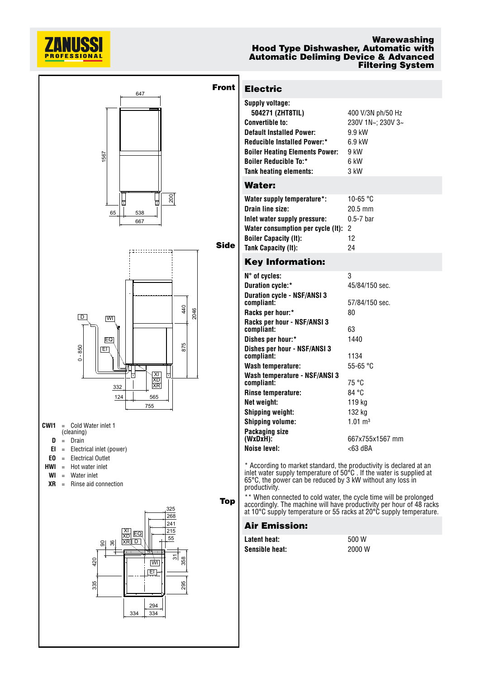

#### **Warewashing Hood Type Dishwasher, Automatic with Automatic Deliming Device & Advanced Filtering System**



334 334

# **Electric**

| Supply voltage:                       |                   |
|---------------------------------------|-------------------|
| 504271 (ZHT8TIL)                      | 400 V/3N ph/50 Hz |
| <b>Convertible to:</b>                | 230V 1N~; 230V 3~ |
| <b>Default Installed Power:</b>       | 9.9 kW            |
| <b>Reducible Installed Power:*</b>    | $6.9$ kW          |
| <b>Boiler Heating Elements Power:</b> | 9 kW              |
| <b>Boiler Reducible To:*</b>          | 6 kW              |
| <b>Tank heating elements:</b>         | 3 kW              |
| Water:                                |                   |
| Water supply temperature*:            | 10-65 °C          |
| Drain line size:                      | $20.5$ mm         |
| Inlet water supply pressure:          | $0.5 - 7$ bar     |
| Water consumption per cycle (It):     | 2                 |
| <b>Boiler Capacity (It):</b>          | 12                |
| Tank Capacity (It):                   | 24                |
| Kev Information:                      |                   |

## **Key Information:**

| $N^{\circ}$ of cycles:                            | 3                          |
|---------------------------------------------------|----------------------------|
| Duration cycle:*                                  | 45/84/150 sec.             |
| <b>Duration cycle - NSF/ANSI 3</b><br>compliant:  | 57/84/150 sec.             |
| Racks per hour:*                                  | 80                         |
| Racks per hour - NSF/ANSI 3<br>compliant:         | 63                         |
| Dishes per hour:*                                 | 1440                       |
| Dishes per hour - NSF/ANSI 3<br>compliant:        | 1134                       |
| Wash temperature:                                 | 55-65 $°C$                 |
| Wash temperature - NSF/ANSI 3<br>compliant:       | 75 °C                      |
| Rinse temperature:                                | 84 °C                      |
| Net weight:                                       | 119 kg                     |
| <b>Shipping weight:</b>                           | 132 kg                     |
| <b>Shipping volume:</b>                           | $1.01 \text{ m}^3$         |
| Packaging size<br>(WxDxH):<br><b>Noise level:</b> | 667x755x1567 mm<br><63 dBA |
|                                                   |                            |

\* According to market standard, the productivity is declared at an inlet water supply temperature of 50°C . If the water is supplied at 65°C, the power can be reduced by 3 kW without any loss in productivity.

\*\* When connected to cold water, the cycle time will be prolonged accordingly. The machine will have productivity per hour of 48 racks at 10°C supply temperature or 55 racks at 20°C supply temperature.

### **Air Emission:**

| Latent heat:   | 500 W  |
|----------------|--------|
| Sensible heat: | 2000 W |